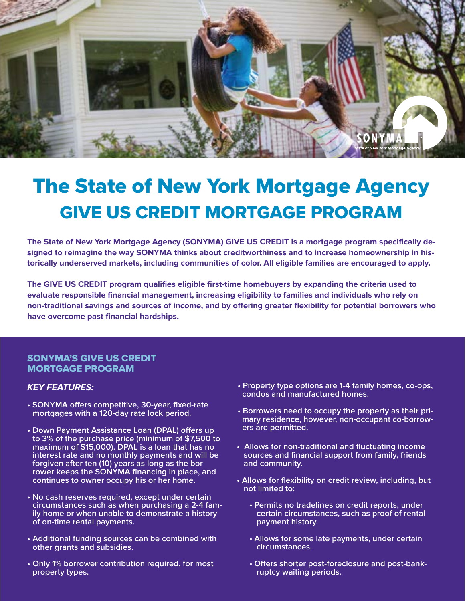

# The State of New York Mortgage Agency GIVE US CREDIT MORTGAGE PROGRAM

**The State of New York Mortgage Agency (SONYMA) GIVE US CREDIT is a mortgage program specifically designed to reimagine the way SONYMA thinks about creditworthiness and to increase homeownership in historically underserved markets, including communities of color. All eligible families are encouraged to apply.**

**The GIVE US CREDIT program qualifies eligible first-time homebuyers by expanding the criteria used to evaluate responsible financial management, increasing eligibility to families and individuals who rely on non-traditional savings and sources of income, and by offering greater flexibility for potential borrowers who have overcome past financial hardships.** 

#### SONYMA'S GIVE US CREDIT MORTGAGE PROGRAM

#### **KEY FEATURES:**

- **SONYMA offers competitive, 30-year, fixed-rate mortgages with a 120-day rate lock period.**
- **Down Payment Assistance Loan (DPAL) offers up to 3% of the purchase price (minimum of \$7,500 to maximum of \$15,000). DPAL is a loan that has no interest rate and no monthly payments and will be forgiven after ten (10) years as long as the borrower keeps the SONYMA financing in place, and continues to owner occupy his or her home.**
- **• No cash reserves required, except under certain circumstances such as when purchasing a 2-4 fam- ily home or when unable to demonstrate a history of on-time rental payments.**
- **Additional funding sources can be combined with other grants and subsidies.**
- **Only 1% borrower contribution required, for most property types.**
- **Property type options are 1-4 family homes, co-ops, condos and manufactured homes.**
- **Borrowers need to occupy the property as their primary residence, however, non-occupant co-borrowers are permitted.**
- **Allows for non-traditional and fluctuating income sources and financial support from family, friends and community.**
- **Allows for flexibility on credit review, including, but not limited to:**
	- • **Permits no tradelines on credit reports, under certain circumstances, such as proof of rental payment history.**
	- • **Allows for some late payments, under certain circumstances.**
	- • **Offers shorter post-foreclosure and post-bankruptcy waiting periods.**